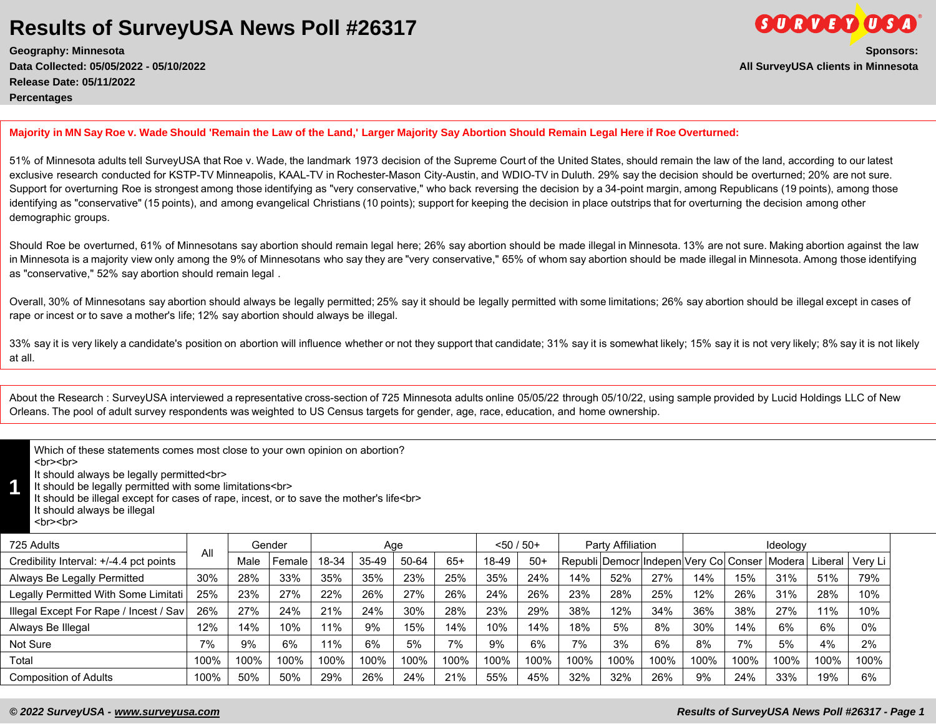**Geography: Minnesota Sponsors: Data Collected: 05/05/2022 - 05/10/2022 All SurveyUSA clients in Minnesota Release Date: 05/11/2022 Percentages**

**Majority in MN Say Roe v. Wade Should 'Remain the Law of the Land,' Larger Majority Say Abortion Should Remain Legal Here if Roe Overturned:** 

51% of Minnesota adults tell SurveyUSA that Roe v. Wade, the landmark 1973 decision of the Supreme Court of the United States, should remain the law of the land, according to our latest exclusive research conducted for KSTP-TV Minneapolis, KAAL-TV in Rochester-Mason City-Austin, and WDIO-TV in Duluth. 29% say the decision should be overturned; 20% are not sure. Support for overturning Roe is strongest among those identifying as "very conservative," who back reversing the decision by a 34-point margin, among Republicans (19 points), among those identifying as "conservative" (15 points), and among evangelical Christians (10 points); support for keeping the decision in place outstrips that for overturning the decision among other demographic groups.

Should Roe be overturned, 61% of Minnesotans say abortion should remain legal here; 26% say abortion should be made illegal in Minnesota. 13% are not sure. Making abortion against the law in Minnesota is a majority view only among the 9% of Minnesotans who say they are "very conservative," 65% of whom say abortion should be made illegal in Minnesota. Among those identifying as "conservative," 52% say abortion should remain legal .

Overall, 30% of Minnesotans say abortion should always be legally permitted; 25% say it should be legally permitted with some limitations; 26% say abortion should be illegal except in cases of rape or incest or to save a mother's life; 12% say abortion should always be illegal.

33% say it is very likely a candidate's position on abortion will influence whether or not they support that candidate; 31% say it is somewhat likely; 15% say it is not very likely; 8% say it is not likely at all.

About the Research : SurveyUSA interviewed a representative cross-section of 725 Minnesota adults online 05/05/22 through 05/10/22, using sample provided by Lucid Holdings LLC of New Orleans. The pool of adult survey respondents was weighted to US Census targets for gender, age, race, education, and home ownership.

Which of these statements comes most close to your own opinion on abortion? <br><br>

It should always be legally permitted<br>

**1** It should be legally permitted with some limitations<br>

It should be illegal except for cases of rape, incest, or to save the mother's life<br>

It should always be illegal

<br>>
shr>

| 725 Adults                              | All  |      | Gender |       | Aqe     |       |       |       | $<$ 50 / 50+ |      | Party Affiliation |      |      |                                                     | Ideology |         |         |
|-----------------------------------------|------|------|--------|-------|---------|-------|-------|-------|--------------|------|-------------------|------|------|-----------------------------------------------------|----------|---------|---------|
| Credibility Interval: +/-4.4 pct points |      | Male | Female | 18-34 | $35-49$ | 50-64 | $65+$ | 18-49 | $50+$        |      |                   |      |      | Republi   Democr  Indepen  Very Co  Conser   Modera |          | Liberal | Verv Li |
| Always Be Legally Permitted             | 30%  | 28%  | 33%    | 35%   | 35%     | 23%   | 25%   | 35%   | 24%          | 14%  | 52%               | 27%  | 14%  | 15%                                                 | 31%      | 51%     | 79%     |
| Legally Permitted With Some Limitati    | 25%  | 23%  | 27%    | 22%   | 26%     | 27%   | 26%   | 24%   | 26%          | 23%  | 28%               | 25%  | 12%  | 26%                                                 | 31%      | 28%     | 10%     |
| Illegal Except For Rape / Incest / Sav  | 26%  | 27%  | 24%    | 21%   | 24%     | 30%   | 28%   | 23%   | 29%          | 38%  | 12%               | 34%  | 36%  | 38%                                                 | 27%      | 11%     | 10%     |
| Always Be Illegal                       | 12%  | 14%  | 10%    | 11%   | 9%      | 15%   | 14%   | 10%   | 14%          | 18%  | 5%                | 8%   | 30%  | 14%                                                 | 6%       | 6%      | $0\%$   |
| Not Sure                                | 7%   | 9%   | 6%     | 11%   | 6%      | 5%    | 7%    | 9%    | 6%           | 7%   | 3%                | 6%   | 8%   | 7%                                                  | 5%       | 4%      | 2%      |
| Total                                   | 100% | 100% | 100%   | 100%  | 100%    | 100%  | 100%  | 100%  | 100%         | 100% | 100%              | 100% | 100% | 100%                                                | 100%     | 100%    | 100%    |
| <b>Composition of Adults</b>            | 100% | 50%  | 50%    | 29%   | 26%     | 24%   | 21%   | 55%   | 45%          | 32%  | 32%               | 26%  | 9%   | 24%                                                 | 33%      | 19%     | 6%      |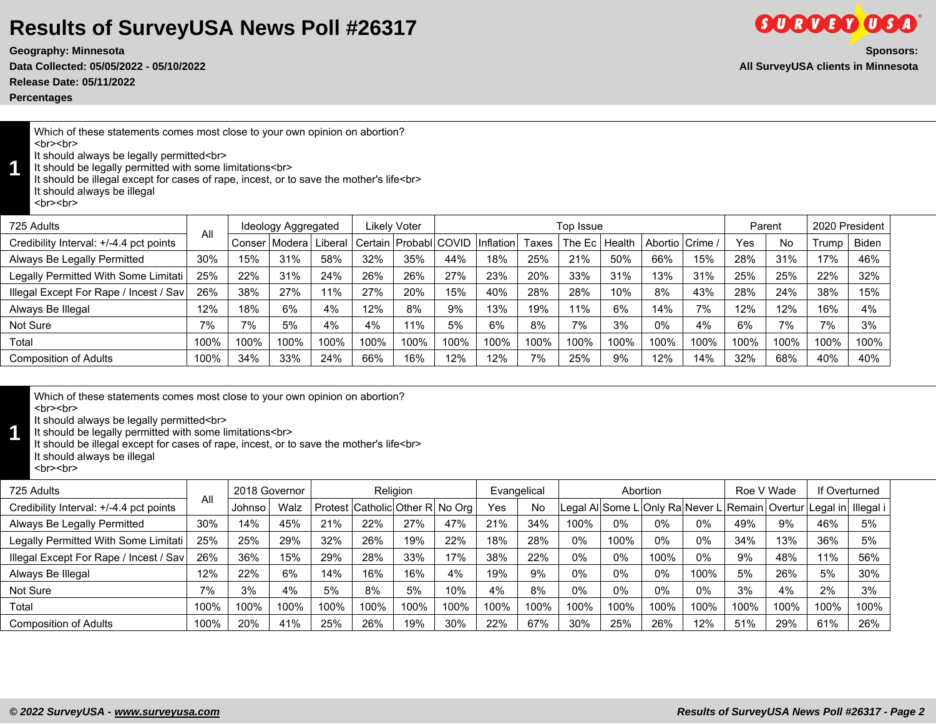**Release Date: 05/11/2022**

**Percentages**

Which of these statements comes most close to your own opinion on abortion? <br><br>

It should always be legally permitted<br>

**1** It should be legally permitted with some limitations<br>

It should be illegal except for cases of rape, incest, or to save the mother's life<br> It should always be illegal

<br><br>

| 725 Adults                              | All  |        | Ideology Aggregated |         |      | <b>Likely Voter</b>        |      |           |       | Top Issue |        |               |      | Parent |      | 2020 President |              |
|-----------------------------------------|------|--------|---------------------|---------|------|----------------------------|------|-----------|-------|-----------|--------|---------------|------|--------|------|----------------|--------------|
| Credibility Interval: +/-4.4 pct points |      | Conser | Modera              | Liberal |      | Certain   Probabl   COVID- |      | Inflation | Taxes | The Ec.   | Health | Abortio Crime |      | Yes    | No   | Trump          | <b>Biden</b> |
| Always Be Legally Permitted             | 30%  | 15%    | 31%                 | 58%     | 32%  | 35%                        | 44%  | 18%       | 25%   | 21%       | 50%    | 66%           | 15%  | 28%    | 31%  | 17%            | 46%          |
| Legally Permitted With Some Limitati    | 25%  | 22%    | 31%                 | 24%     | 26%  | 26%                        | 27%  | 23%       | 20%   | 33%       | 31%    | 13%           | 31%  | 25%    | 25%  | 22%            | 32%          |
| Illegal Except For Rape / Incest / Sav  | 26%  | 38%    | 27%                 | 11%     | 27%  | 20%                        | 15%  | 40%       | 28%   | 28%       | 10%    | 8%            | 43%  | 28%    | 24%  | 38%            | 15%          |
| Always Be Illegal                       | 12%  | 18%    | 6%                  | 4%      | 12%  | 8%                         | 9%   | 13%       | 19%   | 11%       | 6%     | 14%           | 7%   | 12%    | 12%  | 16%            | 4%           |
| Not Sure                                | 7%   | 7%     | 5%                  | 4%      | 4%   | 11%                        | 5%   | 6%        | 8%    | 7%        | 3%     | 0%            | 4%   | 6%     | 7%   | 7%             | 3%           |
| Total                                   | 100% | 100%   | 100%                | 100%    | 100% | 100%                       | 100% | 100%      | 100%  | 100%      | 100%   | 100%          | 100% | 100%   | 100% | 100%           | 100%         |
| <b>Composition of Adults</b>            | 100% | 34%    | 33%                 | 24%     | 66%  | 16%                        | 12%  | 12%       | 7%    | 25%       | 9%     | 12%           | 14%  | 32%    | 68%  | 40%            | 40%          |
|                                         |      |        |                     |         |      |                            |      |           |       |           |        |               |      |        |      |                |              |

<br><br>

It should always be legally permitted<br>

**1** It should be legally permitted with some limitations<br>

It should be illegal except for cases of rape, incest, or to save the mother's life<br>

It should always be illegal br>

| 725 Adults                              | All  | 2018 Governor |      |      |      | Religion                        |      |      | Evangelical |       | Abortion |       |      | Roe V Wade |      | If Overturned                                                      |      |
|-----------------------------------------|------|---------------|------|------|------|---------------------------------|------|------|-------------|-------|----------|-------|------|------------|------|--------------------------------------------------------------------|------|
| Credibility Interval: +/-4.4 pct points |      | Johnso        | Walz |      |      | Protest Catholic Other R No Org |      | Yes  | <b>No</b>   |       |          |       |      |            |      | Legal Al Some L Only Ra Never L Remain Overtur Legal in  Illegal i |      |
| Always Be Legally Permitted             | 30%  | 14%           | 45%  | 21%  | 22%  | 27%                             | 47%  | 21%  | 34%         | 100%  | 0%       | $0\%$ | 0%   | 49%        | 9%   | 46%                                                                | 5%   |
| Legally Permitted With Some Limitati    | 25%  | 25%           | 29%  | 32%  | 26%  | 19%                             | 22%  | 18%  | 28%         | 0%    | 100%     | 0%    | 0%   | 34%        | 13%  | 36%                                                                | 5%   |
| Illegal Except For Rape / Incest / Sav  | 26%  | 36%           | 15%  | 29%  | 28%  | 33%                             | 17%  | 38%  | 22%         | $0\%$ | 0%       | 100%  | 0%   | 9%         | 48%  | 11%                                                                | 56%  |
| Always Be Illegal                       | 12%  | 22%           | 6%   | 14%  | 16%  | 16%                             | 4%   | 19%  | 9%          | $0\%$ | 0%       | 0%    | 100% | 5%         | 26%  | 5%                                                                 | 30%  |
| Not Sure                                | 7%   | 3%            | 4%   | 5%   | 8%   | 5%                              | 10%  | 4%   | 8%          | $0\%$ | 0%       | 0%    | 0%   | 3%         | 4%   | 2%                                                                 | 3%   |
| Total                                   | 100% | 100%          | 100% | 100% | 100% | 100%                            | 100% | 100% | 100%        | 100%  | 100%     | 100%  | 100% | 100%       | 100% | 100%                                                               | 100% |
| Composition of Adults                   | 100% | 20%           | 41%  | 25%  | 26%  | 19%                             | 30%  | 22%  | 67%         | 30%   | 25%      | 26%   | 12%  | 51%        | 29%  | 61%                                                                | 26%  |



**GORDED OGA**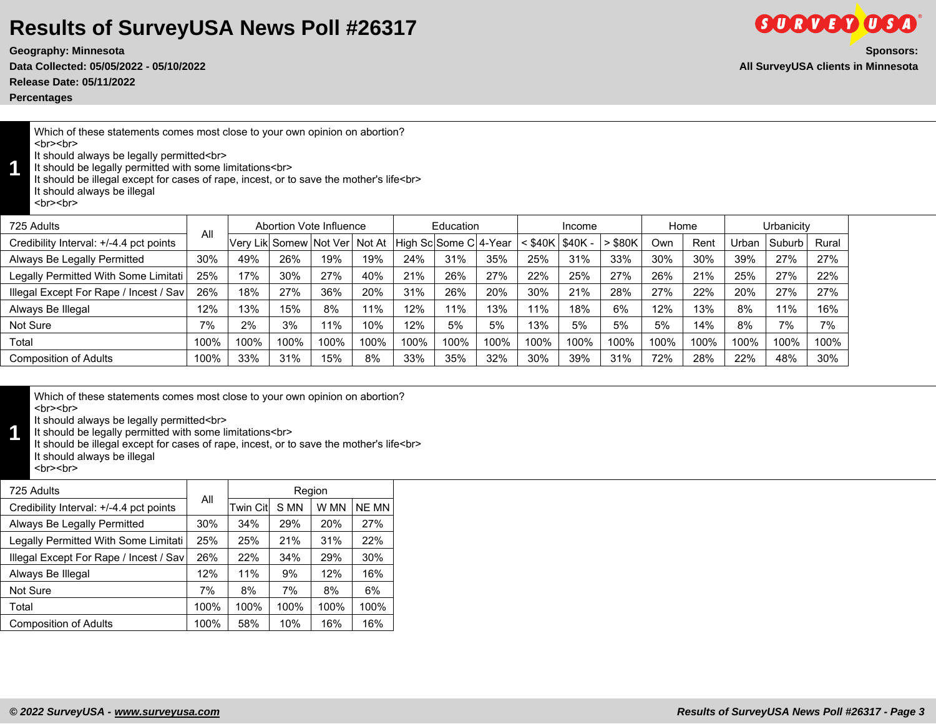**Data Collected: 05/05/2022 - 05/10/2022 All SurveyUSA clients in Minnesota**

**Release Date: 05/11/2022**

**Percentages**

**1**

Which of these statements comes most close to your own opinion on abortion? <br><br>

It should always be legally permitted<br>

It should be legally permitted with some limitations<br>

It should be illegal except for cases of rape, incest, or to save the mother's life<br> It should always be illegal

<br><br>

| 725 Adults                              |      |      | Abortion Vote Influence       |      |      |                       | Education |      |         | Income   |           | Home |      |       | Urbanicity |       |
|-----------------------------------------|------|------|-------------------------------|------|------|-----------------------|-----------|------|---------|----------|-----------|------|------|-------|------------|-------|
| Credibility Interval: +/-4.4 pct points | All  |      | Very Lik Somew Not Ver Not At |      |      | High Sc Some C 4-Year |           |      | < \$40K | $$40K -$ | $>$ \$80K | Own  | Rent | Urban | . Suburb ˈ | Rural |
| Always Be Legally Permitted             | 30%  | 49%  | 26%                           | 19%  | 19%  | 24%                   | 31%       | 35%  | 25%     | 31%      | 33%       | 30%  | 30%  | 39%   | 27%        | 27%   |
| Legally Permitted With Some Limitati    | 25%  | 17%  | 30%                           | 27%  | 40%  | 21%                   | 26%       | 27%  | 22%     | 25%      | 27%       | 26%  | 21%  | 25%   | 27%        | 22%   |
| Illegal Except For Rape / Incest / Sav  | 26%  | 18%  | 27%                           | 36%  | 20%  | 31%                   | 26%       | 20%  | 30%     | 21%      | 28%       | 27%  | 22%  | 20%   | 27%        | 27%   |
| Always Be Illegal                       | 12%  | 13%  | 15%                           | 8%   | 1%   | 12%                   | 11%       | 13%  | 11%     | 18%      | 6%        | 12%  | 13%  | 8%    | 11%        | 16%   |
| Not Sure                                | 7%   | 2%   | 3%                            | 11%  | 10%  | 12%                   | 5%        | 5%   | 13%     | 5%       | 5%        | 5%   | 14%  | 8%    | 7%         | 7%    |
| Total                                   | 100% | 100% | 100%                          | 100% | 100% | 100%                  | 100%      | 100% | 100%    | 100%     | 100%      | 100% | 100% | 100%  | 100%       | 100%  |
| <b>Composition of Adults</b>            | 100% | 33%  | 31%                           | 15%  | 8%   | 33%                   | 35%       | 32%  | 30%     | 39%      | 31%       | 72%  | 28%  | 22%   | 48%        | 30%   |

Which of these statements comes most close to your own opinion on abortion? <br><br>

It should always be legally permitted<br>

**1** It should be legally permitted with some limitations<br>

It should be illegal except for cases of rape, incest, or to save the mother's life<br>

It should always be illegal <br><br>

| 725 Adults                              |      |          | Region |      |              |
|-----------------------------------------|------|----------|--------|------|--------------|
| Credibility Interval: +/-4.4 pct points | All  | Twin Cit | S MN   | W MN | <b>NE MN</b> |
| Always Be Legally Permitted             | 30%  | 34%      | 29%    | 20%  | 27%          |
| Legally Permitted With Some Limitati    | 25%  | 25%      | 21%    | 31%  | 22%          |
| Illegal Except For Rape / Incest / Sav  | 26%  | 22%      | 34%    | 29%  | 30%          |
| Always Be Illegal                       | 12%  | 11%      | 9%     | 12%  | 16%          |
| Not Sure                                | 7%   | 8%       | 7%     | 8%   | 6%           |
| Total                                   | 100% | 100%     | 100%   | 100% | 100%         |
| <b>Composition of Adults</b>            | 100% | 58%      | 10%    | 16%  | 16%          |



**Geography: Minnesota Sponsors:**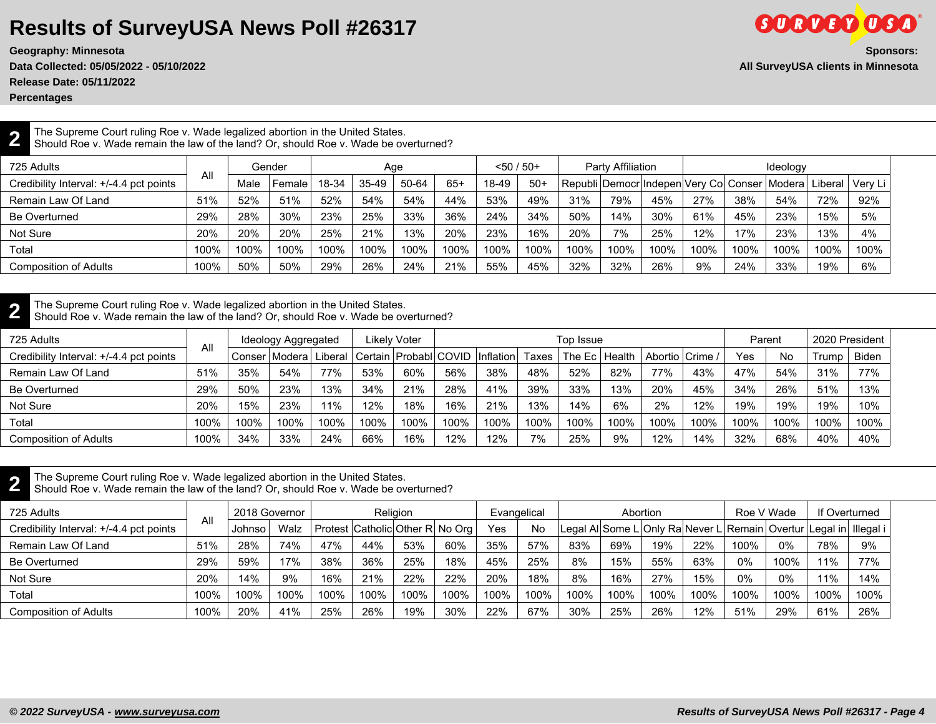**Data Collected: 05/05/2022 - 05/10/2022 All SurveyUSA clients in Minnesota**

**Release Date: 05/11/2022**

**Percentages**

**2**

# **Geography: Minnesota Sponsors:**

**GORDED OSA** 

The Supreme Court ruling Roe v. Wade legalized abortion in the United States. Should Roe v. Wade remain the law of the land? Or, should Roe v. Wade be overturned?

| 725 Adults                              |      | Gender<br>All |        |       | Aqe   |       |       | $< 50 / 50+$ |       |      | <b>Party Affiliation</b> |      |      |      | Ideology                                                         |      |      |
|-----------------------------------------|------|---------------|--------|-------|-------|-------|-------|--------------|-------|------|--------------------------|------|------|------|------------------------------------------------------------------|------|------|
| Credibility Interval: +/-4.4 pct points |      | Male          | Female | 18-34 | 35-49 | 50-64 | $65+$ | 18-49        | $50+$ |      |                          |      |      |      | Republi Democr Indepen Very Col Conser Modera  Liberal   Very Li |      |      |
| Remain Law Of Land                      | 51%  | 52%           | 51%    | 52%   | 54%   | 54%   | 44%   | 53%          | 49%   | 31%  | 79%                      | 45%  | 27%  | 38%  | 54%                                                              | 72%  | 92%  |
| Be Overturned                           | 29%  | 28%           | 30%    | 23%   | 25%   | 33%   | 36%   | 24%          | 34%   | 50%  | 14%                      | 30%  | 61%  | 45%  | 23%                                                              | 15%  | 5%   |
| Not Sure                                | 20%  | 20%           | 20%    | 25%   | 21%   | 13%   | 20%   | 23%          | 16%   | 20%  | 7%                       | 25%  | 12%  | 17%  | 23%                                                              | 13%  | 4%   |
| Total                                   | 100% | 100%          | 100%   | 100%  | 100%  | 100%  | 100%  | 100%         | 100%  | 100% | 100%                     | 100% | 100% | 100% | 100%                                                             | 100% | 100% |
| <b>Composition of Adults</b>            | 100% | 50%           | 50%    | 29%   | 26%   | 24%   | 21%   | 55%          | 45%   | 32%  | 32%                      | 26%  | 9%   | 24%  | 33%                                                              | 19%  | 6%   |

#### **2** The Supreme Court ruling Roe v. Wade legalized abortion in the United States.

Should Roe v. Wade remain the law of the land? Or, should Roe v. Wade be overturned?

| 725 Adults                              |      |           | Ideology Aggregated |           |      | Likely Voter                        |      |      |       | Top Issue        |      |                   |      | Parent |      | 2020 President |       |
|-----------------------------------------|------|-----------|---------------------|-----------|------|-------------------------------------|------|------|-------|------------------|------|-------------------|------|--------|------|----------------|-------|
| Credibility Interval: +/-4.4 pct points | All  | ⊦Conser ' | IModeral            | ' Liberal |      | Certain   Probabl COVID   Inflation |      |      | Taxes | The Ec   Health_ |      | Abortio   Crime / |      | Yes    | No   | Trump          | Biden |
| Remain Law Of Land                      | 51%  | 35%       | 54%                 | 77%       | 53%  | 60%                                 | 56%  | 38%  | 48%   | 52%              | 82%  | 77%               | 43%  | 47%    | 54%  | 31%            | 77%   |
| Be Overturned                           | 29%  | 50%       | 23%                 | 13%       | 34%  | 21%                                 | 28%  | 41%  | 39%   | 33%              | 13%  | 20%               | 45%  | 34%    | 26%  | 51%            | 13%   |
| Not Sure                                | 20%  | 15%       | 23%                 | 11%       | 12%  | 18%                                 | 16%  | 21%  | 13%   | 14%              | 6%   | 2%                | 12%  | 19%    | 19%  | 19%            | 10%   |
| Total                                   | 100% | 100%      | 100%                | 100%      | 100% | 100%                                | 100% | 100% | 100%  | 100%             | 100% | 100%              | 100% | 100%   | 100% | 100%           | 100%  |
| <b>Composition of Adults</b>            | 100% | 34%       | 33%                 | 24%       | 66%  | 16%                                 | 12%  | 12%  | 7%    | 25%              | 9%   | 12%               | 14%  | 32%    | 68%  | 40%            | 40%   |

**2** The Supreme Court ruling Roe v. Wade legalized abortion in the United States.

Should Roe v. Wade remain the law of the land? Or, should Roe v. Wade be overturned?

| 725 Adults                              |      | 2018 Governor |      |      |      | <b>Religion</b>                 |      | Evangelical |      |        | Abortion |      |      | Roe V Wade                                                         |       | If Overturned |      |
|-----------------------------------------|------|---------------|------|------|------|---------------------------------|------|-------------|------|--------|----------|------|------|--------------------------------------------------------------------|-------|---------------|------|
| Credibility Interval: +/-4.4 pct points | All  | ∴Johnso       | Walz |      |      | Protest Catholic Other R No Org |      | Yes         | No   |        |          |      |      | Legal Al Some L Only Ra Never L Remain Overtur Legal in  Illegal i |       |               |      |
| Remain Law Of Land                      | 51%  | 28%           | 74%  | 47%  | 44%  | 53%                             | 60%  | 35%         | 57%  | 83%    | 69%      | 19%  | 22%  | 100%                                                               | $0\%$ | 78%           | 9%   |
| Be Overturned                           | 29%  | 59%           | 17%  | 38%  | 36%  | 25%                             | 18%  | 45%         | 25%  | 8%     | 15%      | 55%  | 63%  | 0%                                                                 | 100%  | 11%           | 77%  |
| Not Sure                                | 20%  | 14%           | 9%   | 16%  | 21%  | 22%                             | 22%  | 20%         | 18%  | 8%     | 16%      | 27%  | 15%  | 0%                                                                 | 0%    | 11%           | 14%  |
| Total                                   | 100% | 100%          | 100% | 100% | 100% | 100%                            | 100% | 100%        | 100% | 100%   | 100%     | 100% | 100% | 100%                                                               | 100%  | 100%          | 100% |
| <b>Composition of Adults</b>            | 100% | 20%           | 41%  | 25%  | 26%  | 19%                             | 30%  | 22%         | 67%  | $30\%$ | 25%      | 26%  | 12%  | 51%                                                                | 29%   | 61%           | 26%  |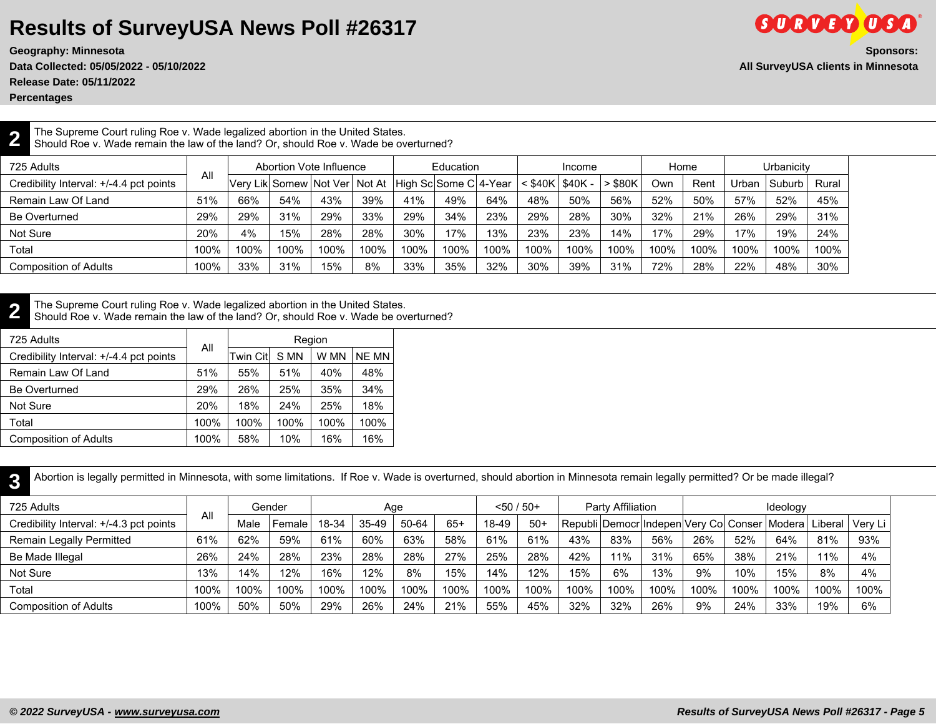**Geography: Minnesota Sponsors:**

**Release Date: 05/11/2022**

**Percentages**

**2**

#### The Supreme Court ruling Roe v. Wade legalized abortion in the United States. Should Roe v. Wade remain the law of the land? Or, should Roe v. Wade be overturned?

| 725 Adults                              | All  |      | Abortion Vote Influence           |      |      |                       | Education |      |              | Income  |             | Home |      |       | Urbanicitv |       |
|-----------------------------------------|------|------|-----------------------------------|------|------|-----------------------|-----------|------|--------------|---------|-------------|------|------|-------|------------|-------|
| Credibility Interval: +/-4.4 pct points |      |      | Very Lik Somew   Not Ver   Not At |      |      | High Sc Some C 4-Year |           |      | $\leq$ \$40K | \$40K - | <b>S80K</b> | Own  | Rent | Urban | . Suburb   | Rural |
| Remain Law Of Land                      | 51%  | 66%  | 54%                               | 43%  | 39%  | 41%                   | 49%       | 64%  | 48%          | 50%     | 56%         | 52%  | 50%  | 57%   | 52%        | 45%   |
| Be Overturned                           | 29%  | 29%  | 31%                               | 29%  | 33%  | 29%                   | 34%       | 23%  | 29%          | 28%     | $30\%$      | 32%  | 21%  | 26%   | 29%        | 31%   |
| Not Sure                                | 20%  | 4%   | 15%                               | 28%  | 28%  | 30%                   | 17%       | 13%  | 23%          | 23%     | 14%         | 17%  | 29%  | 17%   | 19%        | 24%   |
| Total                                   | 100% | 100% | 100%                              | 100% | 100% | 100%                  | 100%      | 100% | 100%         | 100%    | 100%        | 100% | 100% | 100%  | 100%       | 100%  |
| <b>Composition of Adults</b>            | 100% | 33%  | 31%                               | 15%  | 8%   | 33%                   | 35%       | 32%  | 30%          | 39%     | 31%         | 72%  | 28%  | 22%   | 48%        | 30%   |

**2** The Supreme Court ruling Roe v. Wade legalized abortion in the United States.

Should Roe v. Wade remain the law of the land? Or, should Roe v. Wade be overturned?

| 725 Adults                              |      |           | Region |      |       |
|-----------------------------------------|------|-----------|--------|------|-------|
| Credibility Interval: +/-4.4 pct points | All  | Twin Citl | S MN   | W MN | NE MN |
| Remain Law Of Land                      | 51%  | 55%       | 51%    | 40%  | 48%   |
| <b>Be Overturned</b>                    | 29%  | 26%       | 25%    | 35%  | 34%   |
| Not Sure                                | 20%  | 18%       | 24%    | 25%  | 18%   |
| Total                                   | 100% | 100%      | 100%   | 100% | 100%  |
| <b>Composition of Adults</b>            | 100% | 58%       | 10%    | 16%  | 16%   |

**3** Abortion is legally permitted in Minnesota, with some limitations. If Roe v. Wade is overturned, should abortion in Minnesota remain legally permitted? Or be made illegal?

| 725 Adults                              |      |      | Gender |       |       | Age   |       | $< 50 / 50 +$ |       |      | Party Affiliation |                                                           |      |      | Ideology |      |           |
|-----------------------------------------|------|------|--------|-------|-------|-------|-------|---------------|-------|------|-------------------|-----------------------------------------------------------|------|------|----------|------|-----------|
| Credibility Interval: +/-4.3 pct points | All  | Male | Female | 18-34 | 35-49 | 50-64 | $65+$ | 18-49         | $50+$ |      |                   | Republi Democr Indepen Very Col Conser   Modera   Liberal |      |      |          |      | ' Verv Lı |
| Remain Legally Permitted                | 61%  | 62%  | 59%    | 61%   | 60%   | 63%   | 58%   | 61%           | 61%   | 43%  | 83%               | 56%                                                       | 26%  | 52%  | 64%      | 81%  | 93%       |
| Be Made Illegal                         | 26%  | 24%  | 28%    | 23%   | 28%   | 28%   | 27%   | 25%           | 28%   | 42%  | 11%               | 31%                                                       | 65%  | 38%  | 21%      | 11%  | 4%        |
| Not Sure                                | 13%  | 14%  | 12%    | 16%   | 12%   | 8%    | 15%   | 14%           | 12%   | 15%  | 6%                | 13%                                                       | 9%   | 10%  | 15%      | 8%   | 4%        |
| Total                                   | 100% | 100% | 100%   | 100%  | 100%  | 100%  | 100%  | 100%          | 100%  | 100% | 100%              | 100%                                                      | 100% | 100% | 100%     | 100% | 100%      |
| <b>Composition of Adults</b>            | 100% | 50%  | 50%    | 29%   | 26%   | 24%   | 21%   | 55%           | 45%   | 32%  | 32%               | 26%                                                       | 9%   | 24%  | 33%      | 19%  | 6%        |

**GORDED OSA**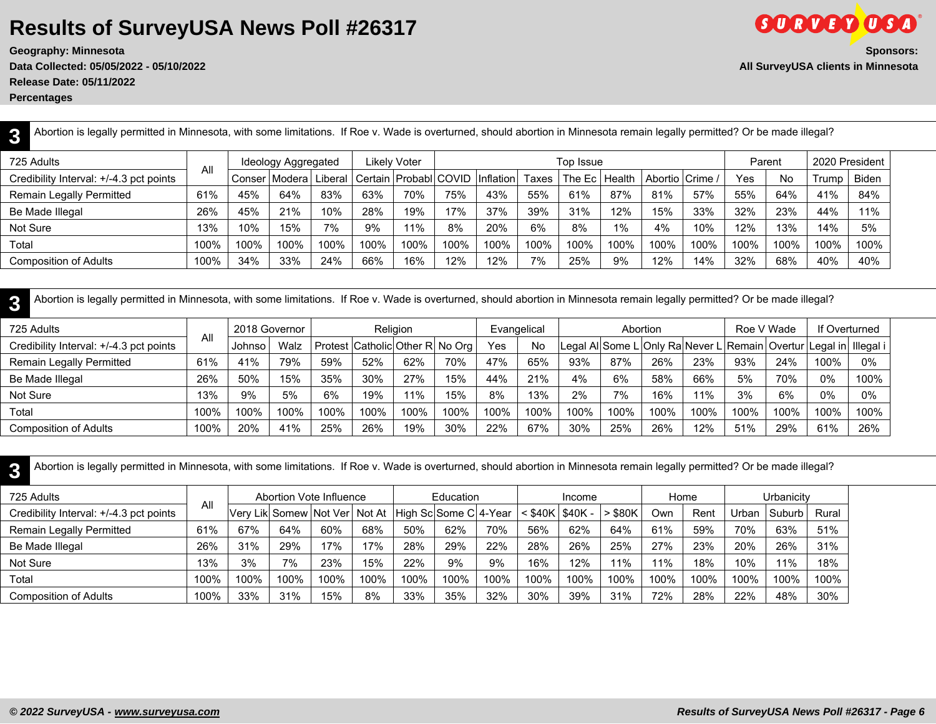**Release Date: 05/11/2022 Percentages**

| Abortion is legally permitted in Minnesota, with some limitations. If Roe v. Wade is overturned, should abortion in Minnesota remain legally permitted? Or be made illegal? |      |      |                           |      |      |                         |      |           |       |           |        |                 |      |        |      |       |                |
|-----------------------------------------------------------------------------------------------------------------------------------------------------------------------------|------|------|---------------------------|------|------|-------------------------|------|-----------|-------|-----------|--------|-----------------|------|--------|------|-------|----------------|
| 725 Adults                                                                                                                                                                  | All  |      | Ideology Aggregated       |      |      | Likelv Voter            |      |           |       | Top Issue |        |                 |      | Parent |      |       | 2020 President |
| Credibility Interval: +/-4.3 pct points                                                                                                                                     |      |      | Conser   Modera   Liberal |      |      | Certain   Probabl COVID |      | Inflation | Taxes | The Ec    | Health | Abortio Crime / |      | Yes    | No   | Trump | <b>Biden</b>   |
| Remain Legally Permitted                                                                                                                                                    | 61%  | 45%  | 64%                       | 83%  | 63%  | 70%                     | 75%  | 43%       | 55%   | 61%       | 87%    | 81%             | 57%  | 55%    | 64%  | 41%   | 84%            |
| Be Made Illegal                                                                                                                                                             | 26%  | 45%  | 21%                       | 10%  | 28%  | 19%                     | 17%  | 37%       | 39%   | 31%       | 12%    | 15%             | 33%  | 32%    | 23%  | 44%   | 11%            |
| Not Sure                                                                                                                                                                    | 13%  | 10%  | 15%                       | 7%   | 9%   | 11%                     | 8%   | 20%       | 6%    | 8%        | 1%     | 4%              | 10%  | 12%    | 13%  | 14%   | 5%             |
| Total                                                                                                                                                                       | 100% | 100% | 100%                      | 100% | 100% | 100%                    | 100% | 100%      | 100%  | 100%      | 100%   | 100%            | 100% | 100%   | 100% | 100%  | 100%           |
| Composition of Adults                                                                                                                                                       | 100% | 34%  | 33%                       | 24%  | 66%  | 16%                     | 12%  | 12%       | 7%    | 25%       | 9%     | 12%             | 14%  | 32%    | 68%  | 40%   | 40%            |

**3** Abortion is legally permitted in Minnesota, with some limitations. If Roe v. Wade is overturned, should abortion in Minnesota remain legally permitted? Or be made illegal?

| 725 Adults                              | All  | 2018 Governor |      |                                       |      | <b>Religion</b> |      | Evangelical |      |      | Abortion |      |      | Roe V Wade                                                            |      | If Overturned |      |
|-----------------------------------------|------|---------------|------|---------------------------------------|------|-----------------|------|-------------|------|------|----------|------|------|-----------------------------------------------------------------------|------|---------------|------|
| Credibility Interval: +/-4.3 pct points |      | Johnso        | Walz | Protest   Catholic   Other R   No Org |      |                 |      | Yes         | No   |      |          |      |      | Legal Al Some L Only Ra Never L Remain   Overtur Legal in   Illegal i |      |               |      |
| Remain Legally Permitted                | 61%  | 41%           | 79%  | 59%                                   | 52%  | 62%             | 70%  | 47%         | 65%  | 93%  | 87%      | 26%  | 23%  | 93%                                                                   | 24%  | 100%          | 0%   |
| Be Made Illegal                         | 26%  | 50%           | 15%  | 35%                                   | 30%  | 27%             | 15%  | 44%         | 21%  | 4%   | 6%       | 58%  | 66%  | 5%                                                                    | 70%  | 0%            | 100% |
| Not Sure                                | 13%  | 9%            | 5%   | 6%                                    | 19%  | 11%             | 15%  | 8%          | 13%  | 2%   | 7%       | 16%  | 11%  | 3%                                                                    | 6%   | 0%            | 0%   |
| Total                                   | 100% | 100%          | 100% | 100%                                  | 100% | 100%            | 100% | 100%        | 100% | 100% | 100%     | 100% | 100% | 100%                                                                  | 100% | 100%          | 100% |
| <b>Composition of Adults</b>            | 100% | 20%           | 41%  | 25%                                   | 26%  | 19%             | 30%  | 22%         | 67%  | 30%  | 25%      | 26%  | 12%  | 51%                                                                   | 29%  | 61%           | 26%  |

**3** Abortion is legally permitted in Minnesota, with some limitations. If Roe v. Wade is overturned, should abortion in Minnesota remain legally permitted? Or be made illegal?

| 725 Adults                              |      |                                                     | Abortion Vote Influence |      |      |      | Education |      |                           | Income |              |      | Home |       | Urbanicity |       |
|-----------------------------------------|------|-----------------------------------------------------|-------------------------|------|------|------|-----------|------|---------------------------|--------|--------------|------|------|-------|------------|-------|
| Credibility Interval: +/-4.3 pct points | All  | Very Lik Somew Not Ver Not At High Sc Some C 4-Year |                         |      |      |      |           |      | $<$ \$40K $\sqrt$ \$40K - |        | <b>\$80K</b> | Own  | Rent | Urban | Suburb     | Rural |
| Remain Legally Permitted                | 61%  | 67%                                                 | 64%                     | 60%  | 68%  | 50%  | 62%       | 70%  | 56%                       | 62%    | 64%          | 61%  | 59%  | 70%   | 63%        | 51%   |
| Be Made Illegal                         | 26%  | 31%                                                 | 29%                     | 17%  | 17%  | 28%  | 29%       | 22%  | 28%                       | 26%    | 25%          | 27%  | 23%  | 20%   | 26%        | 31%   |
| Not Sure                                | 13%  | 3%                                                  | 7%                      | 23%  | 15%  | 22%  | 9%        | 9%   | 16%                       | 12%    | 11%          | 11%  | 18%  | 10%   | 11%        | 18%   |
| Total                                   | 100% | 100%                                                | 100%                    | 100% | 100% | 100% | 100%      | 100% | 100%                      | 100%   | 100%         | 100% | 100% | 100%  | 100%       | 100%  |
| <b>Composition of Adults</b>            | 100% | 33%                                                 | 31%                     | 15%  | 8%   | 33%  | 35%       | 32%  | 30%                       | 39%    | 31%          | 72%  | 28%  | 22%   | 48%        | 30%   |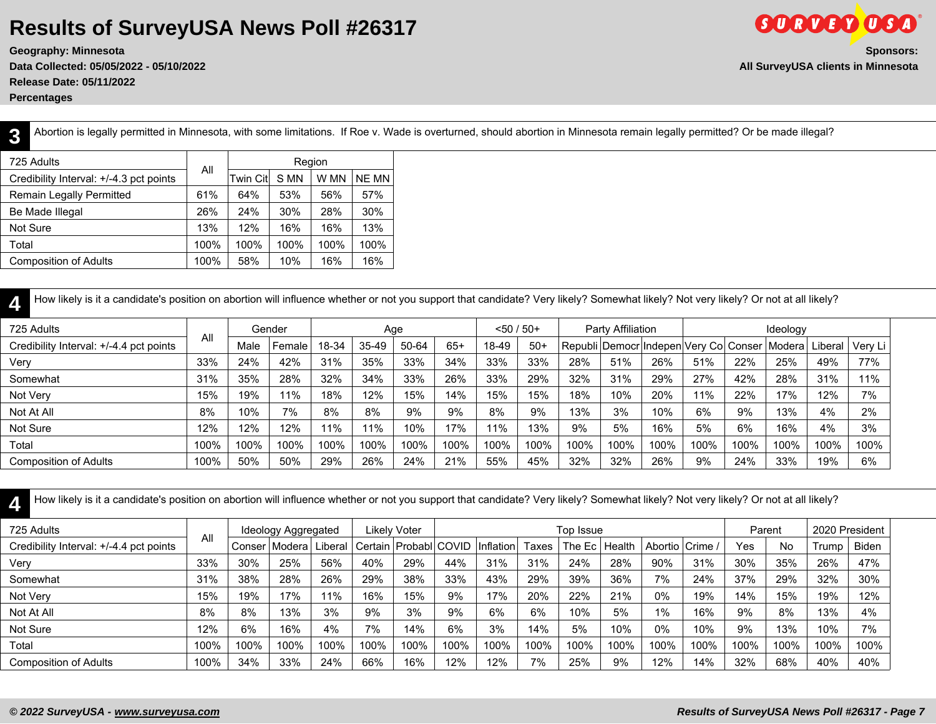**Geography: Minnesota Sponsors: Data Collected: 05/05/2022 - 05/10/2022 All SurveyUSA clients in Minnesota Release Date: 05/11/2022 Percentages**

**GORDED OSA** 

**3**

Abortion is legally permitted in Minnesota, with some limitations. If Roe v. Wade is overturned, should abortion in Minnesota remain legally permitted? Or be made illegal?

| 725 Adults                              |      |                 | Region |      |              |
|-----------------------------------------|------|-----------------|--------|------|--------------|
| Credibility Interval: +/-4.3 pct points | All  | <b>Twin Cit</b> | S MN   | W MN | <b>NE MN</b> |
| Remain Legally Permitted                | 61%  | 64%             | 53%    | 56%  | 57%          |
| Be Made Illegal                         | 26%  | 24%             | 30%    | 28%  | 30%          |
| Not Sure                                | 13%  | 12%             | 16%    | 16%  | 13%          |
| Total                                   | 100% | 100%            | 100%   | 100% | 100%         |
| <b>Composition of Adults</b>            | 100% | 58%             | 10%    | 16%  | 16%          |

| How likely is it a candidate's position on abortion will influence whether or not you support that candidate? Very likely? Somewhat likely? Not very likely? Or not at all likely? |      |      |        |       |         |       |       |               |       |      |                   |      |                                        |      |          |         |         |
|------------------------------------------------------------------------------------------------------------------------------------------------------------------------------------|------|------|--------|-------|---------|-------|-------|---------------|-------|------|-------------------|------|----------------------------------------|------|----------|---------|---------|
| 725 Adults                                                                                                                                                                         |      |      | Gender |       |         | Age   |       | $< 50 / 50 +$ |       |      | Party Affiliation |      |                                        |      | Ideology |         |         |
| Credibility Interval: +/-4.4 pct points                                                                                                                                            | All  | Male | Female | 18-34 | $35-49$ | 50-64 | $65+$ | 18-49         | $50+$ |      |                   |      | Republi Democr Indepen Very Col Conser |      | Moderal  | Liberal | Very Li |
| Very                                                                                                                                                                               | 33%  | 24%  | 42%    | 31%   | 35%     | 33%   | 34%   | 33%           | 33%   | 28%  | 51%               | 26%  | 51%                                    | 22%  | 25%      | 49%     | 77%     |
| Somewhat                                                                                                                                                                           | 31%  | 35%  | 28%    | 32%   | 34%     | 33%   | 26%   | 33%           | 29%   | 32%  | 31%               | 29%  | 27%                                    | 42%  | 28%      | 31%     | 11%     |
| Not Very                                                                                                                                                                           | 15%  | 19%  | 11%    | 18%   | 12%     | 15%   | 14%   | 15%           | 15%   | 18%  | 10%               | 20%  | 11%                                    | 22%  | 17%      | 12%     | 7%      |
| Not At All                                                                                                                                                                         | 8%   | 10%  | 7%     | 8%    | 8%      | 9%    | 9%    | 8%            | 9%    | 13%  | 3%                | 10%  | 6%                                     | 9%   | 13%      | 4%      | 2%      |
| Not Sure                                                                                                                                                                           | 12%  | 12%  | 12%    | 11%   | 11%     | 10%   | 17%   | 11%           | 13%   | 9%   | 5%                | 16%  | 5%                                     | 6%   | 16%      | 4%      | 3%      |
| Total                                                                                                                                                                              | 100% | 100% | 100%   | 100%  | 100%    | 100%  | 100%  | 100%          | 100%  | 100% | 100%              | 100% | 100%                                   | 100% | 100%     | 100%    | 100%    |
| <b>Composition of Adults</b>                                                                                                                                                       | 100% | 50%  | 50%    | 29%   | 26%     | 24%   | 21%   | 55%           | 45%   | 32%  | 32%               | 26%  | 9%                                     | 24%  | 33%      | 19%     | 6%      |

**4** How likely is it a candidate's position on abortion will influence whether or not you support that candidate? Very likely? Somewhat likely? Not very likely? Or not at all likely?

| 725 Adults                              |      |      | Ideology Aggregated |      |      | Likely Voter                        |      |                  |       | Top Issue       |      |                 |      | Parent |      | 2020 President |              |
|-----------------------------------------|------|------|---------------------|------|------|-------------------------------------|------|------------------|-------|-----------------|------|-----------------|------|--------|------|----------------|--------------|
| Credibility Interval: +/-4.4 pct points | All  |      | Conser   Modera   L |      |      | Liberal   Certain   Probabl   COVID |      | <b>Inflation</b> | Taxes | The Ec   Health |      | Abortio Crime / |      | Yes    | No   | Trump          | <b>Biden</b> |
| Very                                    | 33%  | 30%  | 25%                 | 56%  | 40%  | 29%                                 | 44%  | 31%              | 31%   | 24%             | 28%  | 90%             | 31%  | $30\%$ | 35%  | 26%            | 47%          |
| Somewhat                                | 31%  | 38%  | 28%                 | 26%  | 29%  | 38%                                 | 33%  | 43%              | 29%   | 39%             | 36%  | 7%              | 24%  | 37%    | 29%  | 32%            | 30%          |
| Not Very                                | 15%  | 19%  | 17%                 | 11%  | 16%  | 15%                                 | 9%   | 17%              | 20%   | 22%             | 21%  | 0%              | 19%  | 14%    | 15%  | 19%            | 12%          |
| Not At All                              | 8%   | 8%   | 13%                 | 3%   | 9%   | 3%                                  | 9%   | 6%               | 6%    | 10%             | 5%   | 1%              | 16%  | 9%     | 8%   | 13%            | 4%           |
| Not Sure                                | 12%  | 6%   | 16%                 | 4%   | 7%   | 14%                                 | 6%   | 3%               | 14%   | 5%              | 10%  | $0\%$           | 10%  | 9%     | 13%  | 10%            | 7%           |
| Total                                   | 100% | 100% | 100%                | 100% | 100% | 100%                                | 100% | 100%             | 100%  | 100%            | 100% | 100%            | 100% | 100%   | 100% | 100%           | 100%         |
| <b>Composition of Adults</b>            | 100% | 34%  | 33%                 | 24%  | 66%  | 16%                                 | 12%  | 12%              | 7%    | 25%             | 9%   | 12%             | 14%  | 32%    | 68%  | 40%            | 40%          |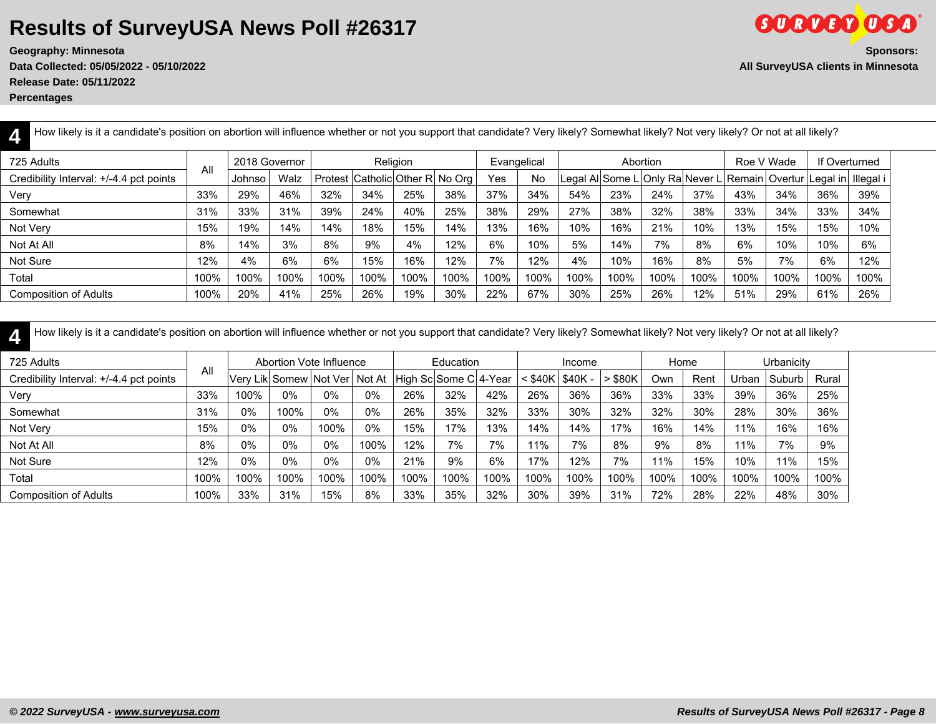**Release Date: 05/11/2022**

**Percentages**

| How likely is it a candidate's position on abortion will influence whether or not you support that candidate? Very likely? Somewhat likely? Not very likely? Or not at all likely? |      |               |      |      |      |                                 |      |      |             |      |                                 |          |      |            |                                         |               |      |
|------------------------------------------------------------------------------------------------------------------------------------------------------------------------------------|------|---------------|------|------|------|---------------------------------|------|------|-------------|------|---------------------------------|----------|------|------------|-----------------------------------------|---------------|------|
| 725 Adults                                                                                                                                                                         |      | 2018 Governor |      |      |      | Religion                        |      |      | Evangelical |      |                                 | Abortion |      | Roe V Wade |                                         | If Overturned |      |
| Credibility Interval: +/-4.4 pct points                                                                                                                                            | All  | Johnso        | Walz |      |      | Protest Catholic Other R No Org |      | Yes  | <b>No</b>   |      | Legal Al Some L Only Ra Never L |          |      |            | Remain   Overtur   Legal in   Illegal i |               |      |
| Very                                                                                                                                                                               | 33%  | 29%           | 46%  | 32%  | 34%  | 25%                             | 38%  | 37%  | 34%         | 54%  | 23%                             | 24%      | 37%  | 43%        | 34%                                     | 36%           | 39%  |
| Somewhat                                                                                                                                                                           | 31%  | 33%           | 31%  | 39%  | 24%  | 40%                             | 25%  | 38%  | 29%         | 27%  | 38%                             | 32%      | 38%  | 33%        | 34%                                     | 33%           | 34%  |
| Not Very                                                                                                                                                                           | 15%  | 19%           | 14%  | 14%  | 18%  | 15%                             | 14%  | 13%  | 16%         | 10%  | 16%                             | 21%      | 10%  | 13%        | 15%                                     | 15%           | 10%  |
| Not At All                                                                                                                                                                         | 8%   | 14%           | 3%   | 8%   | 9%   | 4%                              | 12%  | 6%   | 10%         | 5%   | 14%                             | 7%       | 8%   | 6%         | 10%                                     | 10%           | 6%   |
| Not Sure                                                                                                                                                                           | 12%  | 4%            | 6%   | 6%   | 15%  | 16%                             | 12%  | 7%   | 12%         | 4%   | 10%                             | 16%      | 8%   | 5%         | 7%                                      | 6%            | 12%  |
| Total                                                                                                                                                                              | 100% | 100%          | 100% | 100% | 100% | 100%                            | 100% | 100% | 100%        | 100% | 100%                            | 100%     | 100% | 100%       | 100%                                    | 100%          | 100% |
| <b>Composition of Adults</b>                                                                                                                                                       | 100% | 20%           | 41%  | 25%  | 26%  | 19%                             | 30%  | 22%  | 67%         | 30%  | 25%                             | 26%      | 12%  | 51%        | 29%                                     | 61%           | 26%  |

| How likely is it a candidate's position on abortion will influence whether or not you support that candidate? Very likely? Somewhat likely? Not very likely? Or not at all likely? |      |       |       |                               |      |                       |           |      |         |          |           |      |      |       |            |       |  |
|------------------------------------------------------------------------------------------------------------------------------------------------------------------------------------|------|-------|-------|-------------------------------|------|-----------------------|-----------|------|---------|----------|-----------|------|------|-------|------------|-------|--|
| 725 Adults                                                                                                                                                                         |      |       |       | Abortion Vote Influence       |      |                       | Education |      |         | Income   |           |      | Home |       | Urbanicity |       |  |
| Credibility Interval: +/-4.4 pct points                                                                                                                                            | All  |       |       | Very Lik Somew Not Ver Not At |      | High Sc Some C 4-Year |           |      | ∶ \$40K | $$40K -$ | $>$ \$80K | Own  | Rent | Urban | Suburb     | Rural |  |
| Very                                                                                                                                                                               | 33%  | 100%  | $0\%$ | 0%                            | 0%   | 26%                   | 32%       | 42%  | 26%     | 36%      | 36%       | 33%  | 33%  | 39%   | 36%        | 25%   |  |
| Somewhat                                                                                                                                                                           | 31%  | 0%    | 100%  | $0\%$                         | 0%   | 26%                   | 35%       | 32%  | 33%     | 30%      | 32%       | 32%  | 30%  | 28%   | 30%        | 36%   |  |
| Not Very                                                                                                                                                                           | 15%  | 0%    | $0\%$ | 100%                          | 0%   | 15%                   | 17%       | 13%  | 14%     | 14%      | 17%       | 16%  | 14%  | 11%   | 16%        | 16%   |  |
| Not At All                                                                                                                                                                         | 8%   | $0\%$ | 0%    | 0%                            | 100% | 12%                   | 7%        | 7%   | 11%     | 7%       | 8%        | 9%   | 8%   | 11%   | 7%         | 9%    |  |
| Not Sure                                                                                                                                                                           | 12%  | 0%    | $0\%$ | 0%                            | 0%   | 21%                   | 9%        | 6%   | 17%     | 12%      | 7%        | 11%  | 15%  | 10%   | 11%        | 15%   |  |
| Total                                                                                                                                                                              | 100% | 100%  | 100%  | 100%                          | 100% | 100%                  | 100%      | 100% | 100%    | 100%     | 100%      | 100% | 100% | 100%  | 100%       | 100%  |  |
| <b>Composition of Adults</b>                                                                                                                                                       | 100% | 33%   | 31%   | 15%                           | 8%   | 33%                   | 35%       | 32%  | 30%     | 39%      | 31%       | 72%  | 28%  | 22%   | 48%        | 30%   |  |

How likely is it a candidate's position on abortion will influence whether or not you support that candidate? Very likely? Somewhat likely? Not very likely? Or not at all likely?